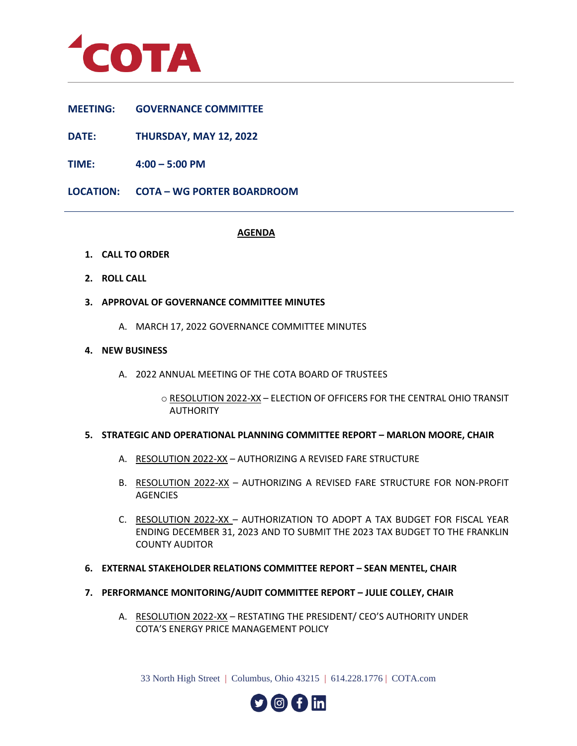

- **MEETING: GOVERNANCE COMMITTEE**
- **DATE: THURSDAY, MAY 12, 2022**
- **TIME: 4:00 – 5:00 PM**
- **LOCATION: COTA – WG PORTER BOARDROOM**

# **AGENDA**

- **1. CALL TO ORDER**
- **2. ROLL CALL**
- **3. APPROVAL OF GOVERNANCE COMMITTEE MINUTES**
	- A. MARCH 17, 2022 GOVERNANCE COMMITTEE MINUTES

# **4. NEW BUSINESS**

A. 2022 ANNUAL MEETING OF THE COTA BOARD OF TRUSTEES

o RESOLUTION 2022-XX – ELECTION OF OFFICERS FOR THE CENTRAL OHIO TRANSIT AUTHORITY

## **5. STRATEGIC AND OPERATIONAL PLANNING COMMITTEE REPORT - MARLON MOORE, CHAIR**

- A. RESOLUTION 2022-XX AUTHORIZING A REVISED FARE STRUCTURE
- B. RESOLUTION 2022-XX AUTHORIZING A REVISED FARE STRUCTURE FOR NON-PROFIT AGENCIES
- C. RESOLUTION 2022-XX AUTHORIZATION TO ADOPT A TAX BUDGET FOR FISCAL YEAR ENDING DECEMBER 31, 2023 AND TO SUBMIT THE 2023 TAX BUDGET TO THE FRANKLIN COUNTY AUDITOR
- **6. EXTERNAL STAKEHOLDER RELATIONS COMMITTEE REPORT – SEAN MENTEL, CHAIR**
- **7. PERFORMANCE MONITORING/AUDIT COMMITTEE REPORT – JULIE COLLEY, CHAIR**
	- A. RESOLUTION 2022-XX RESTATING THE PRESIDENT/ CEO'S AUTHORITY UNDER COTA'S ENERGY PRICE MANAGEMENT POLICY

33 North High Street | Columbus, Ohio 43215 | 614.228.1776 | COTA.com

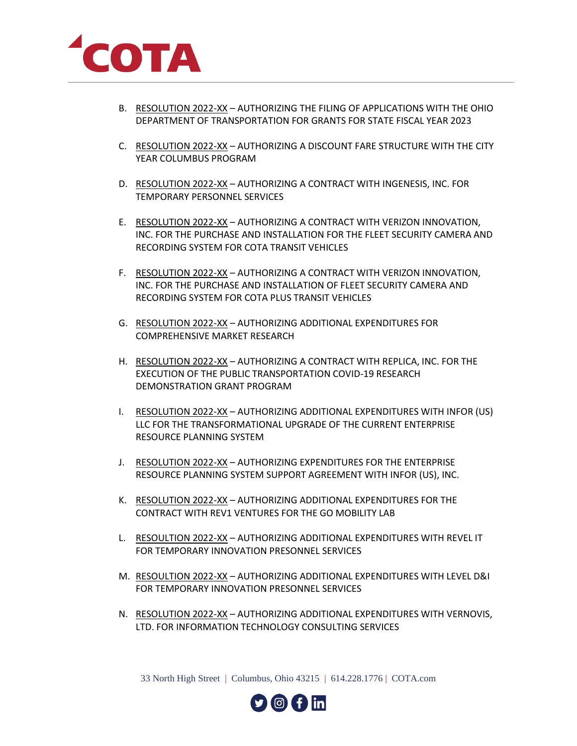

- B. RESOLUTION 2022-XX AUTHORIZING THE FILING OF APPLICATIONS WITH THE OHIO DEPARTMENT OF TRANSPORTATION FOR GRANTS FOR STATE FISCAL YEAR 2023
- C. RESOLUTION 2022-XX AUTHORIZING A DISCOUNT FARE STRUCTURE WITH THE CITY YEAR COLUMBUS PROGRAM
- D. RESOLUTION 2022-XX AUTHORIZING A CONTRACT WITH INGENESIS, INC. FOR TEMPORARY PERSONNEL SERVICES
- E. RESOLUTION 2022-XX AUTHORIZING A CONTRACT WITH VERIZON INNOVATION, INC. FOR THE PURCHASE AND INSTALLATION FOR THE FLEET SECURITY CAMERA AND RECORDING SYSTEM FOR COTA TRANSIT VEHICLES
- F. RESOLUTION 2022-XX AUTHORIZING A CONTRACT WITH VERIZON INNOVATION, INC. FOR THE PURCHASE AND INSTALLATION OF FLEET SECURITY CAMERA AND RECORDING SYSTEM FOR COTA PLUS TRANSIT VEHICLES
- G. RESOLUTION 2022-XX AUTHORIZING ADDITIONAL EXPENDITURES FOR COMPREHENSIVE MARKET RESEARCH
- H. RESOLUTION 2022-XX AUTHORIZING A CONTRACT WITH REPLICA, INC. FOR THE EXECUTION OF THE PUBLIC TRANSPORTATION COVID-19 RESEARCH DEMONSTRATION GRANT PROGRAM
- I. RESOLUTION 2022-XX AUTHORIZING ADDITIONAL EXPENDITURES WITH INFOR (US) LLC FOR THE TRANSFORMATIONAL UPGRADE OF THE CURRENT ENTERPRISE RESOURCE PLANNING SYSTEM
- J. RESOLUTION 2022-XX AUTHORIZING EXPENDITURES FOR THE ENTERPRISE RESOURCE PLANNING SYSTEM SUPPORT AGREEMENT WITH INFOR (US), INC.
- K. RESOLUTION 2022-XX AUTHORIZING ADDITIONAL EXPENDITURES FOR THE CONTRACT WITH REV1 VENTURES FOR THE GO MOBILITY LAB
- L. RESOULTION 2022-XX AUTHORIZING ADDITIONAL EXPENDITURES WITH REVEL IT FOR TEMPORARY INNOVATION PRESONNEL SERVICES
- M. RESOULTION 2022-XX AUTHORIZING ADDITIONAL EXPENDITURES WITH LEVEL D&I FOR TEMPORARY INNOVATION PRESONNEL SERVICES
- N. RESOLUTION 2022-XX AUTHORIZING ADDITIONAL EXPENDITURES WITH VERNOVIS, LTD. FOR INFORMATION TECHNOLOGY CONSULTING SERVICES

33 North High Street | Columbus, Ohio 43215 | 614.228.1776 | COTA.com